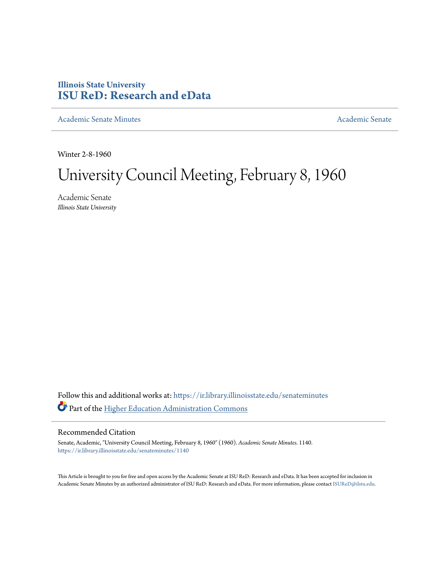## **Illinois State University [ISU ReD: Research and eData](https://ir.library.illinoisstate.edu?utm_source=ir.library.illinoisstate.edu%2Fsenateminutes%2F1140&utm_medium=PDF&utm_campaign=PDFCoverPages)**

[Academic Senate Minutes](https://ir.library.illinoisstate.edu/senateminutes?utm_source=ir.library.illinoisstate.edu%2Fsenateminutes%2F1140&utm_medium=PDF&utm_campaign=PDFCoverPages) [Academic Senate](https://ir.library.illinoisstate.edu/senate?utm_source=ir.library.illinoisstate.edu%2Fsenateminutes%2F1140&utm_medium=PDF&utm_campaign=PDFCoverPages) Academic Senate

Winter 2-8-1960

# University Council Meeting, February 8, 1960

Academic Senate *Illinois State University*

Follow this and additional works at: [https://ir.library.illinoisstate.edu/senateminutes](https://ir.library.illinoisstate.edu/senateminutes?utm_source=ir.library.illinoisstate.edu%2Fsenateminutes%2F1140&utm_medium=PDF&utm_campaign=PDFCoverPages) Part of the [Higher Education Administration Commons](http://network.bepress.com/hgg/discipline/791?utm_source=ir.library.illinoisstate.edu%2Fsenateminutes%2F1140&utm_medium=PDF&utm_campaign=PDFCoverPages)

### Recommended Citation

Senate, Academic, "University Council Meeting, February 8, 1960" (1960). *Academic Senate Minutes*. 1140. [https://ir.library.illinoisstate.edu/senateminutes/1140](https://ir.library.illinoisstate.edu/senateminutes/1140?utm_source=ir.library.illinoisstate.edu%2Fsenateminutes%2F1140&utm_medium=PDF&utm_campaign=PDFCoverPages)

This Article is brought to you for free and open access by the Academic Senate at ISU ReD: Research and eData. It has been accepted for inclusion in Academic Senate Minutes by an authorized administrator of ISU ReD: Research and eData. For more information, please contact [ISUReD@ilstu.edu.](mailto:ISUReD@ilstu.edu)